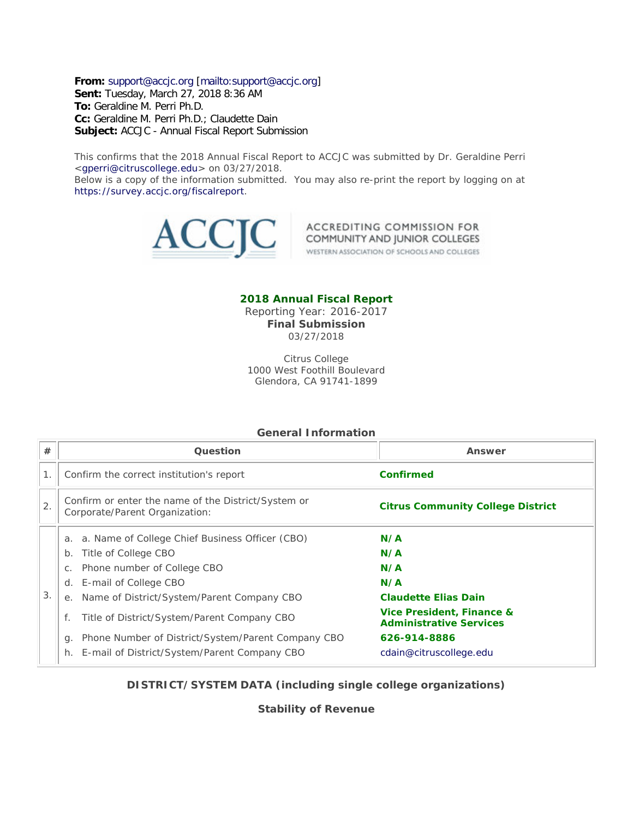**From:** [support@accjc.org](mailto:support@accjc.org) [\[mailto:support@accjc.org\]](mailto:support@accjc.org) **Sent:** Tuesday, March 27, 2018 8:36 AM **To:** Geraldine M. Perri Ph.D. **Cc:** Geraldine M. Perri Ph.D.; Claudette Dain

**Subject:** ACCJC - Annual Fiscal Report Submission

This confirms that the 2018 Annual Fiscal Report to ACCJC was submitted by Dr. Geraldine Perri [<gperri@citruscollege.edu>](mailto:gperri@citruscollege.edu) on 03/27/2018.

Below is a copy of the information submitted. You may also re-print the report by logging on at [https://survey.accjc.org/fiscalreport.](https://survey.accjc.org/fiscalreport)



ACCREDITING COMMISSION FOR COMMUNITY AND JUNIOR COLLEGES

WESTERN ASSOCIATION OF SCHOOLS AND COLLEGES

### **2018 Annual Fiscal Report**

Reporting Year: 2016-2017 **Final Submission** 03/27/2018

Citrus College 1000 West Foothill Boulevard Glendora, CA 91741-1899

#### **General Information**

| #  | Question                                                                              | Answer                                                      |
|----|---------------------------------------------------------------------------------------|-------------------------------------------------------------|
|    | Confirm the correct institution's report                                              | Confirmed                                                   |
| 2. | Confirm or enter the name of the District/System or<br>Corporate/Parent Organization: | <b>Citrus Community College District</b>                    |
|    | a. Name of College Chief Business Officer (CBO)<br>a.<br>Title of College CBO<br>b.   | N/A<br>N/A                                                  |
|    | Phone number of College CBO<br>C.                                                     | N/A                                                         |
|    | E-mail of College CBO<br>d.                                                           | N/A                                                         |
| 3. | Name of District/System/Parent Company CBO<br>е.                                      | <b>Claudette Elias Dain</b>                                 |
|    | Title of District/System/Parent Company CBO<br>f.                                     | Vice President, Finance &<br><b>Administrative Services</b> |
|    | Phone Number of District/System/Parent Company CBO<br>q.                              | 626-914-8886                                                |
|    | E-mail of District/System/Parent Company CBO<br>h.                                    | cdain@citruscollege.edu                                     |

#### **DISTRICT/SYSTEM DATA (including single college organizations)**

**Stability of Revenue**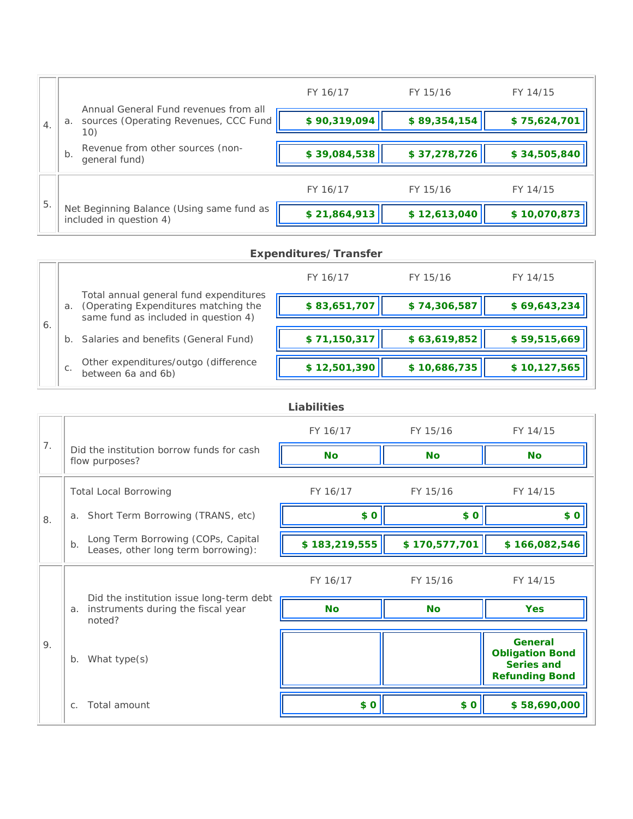|                  |                                                                                             | FY 16/17     | FY 15/16     | FY 14/15     |
|------------------|---------------------------------------------------------------------------------------------|--------------|--------------|--------------|
| $\overline{4}$ . | Annual General Fund revenues from all<br>sources (Operating Revenues, CCC Fund<br>a.<br>10) | \$90,319,094 | \$89,354,154 | \$75,624,701 |
|                  | Revenue from other sources (non-<br>b.<br>general fund)                                     | \$39,084,538 | \$37,278,726 | \$34,505,840 |
|                  |                                                                                             | FY 16/17     | FY 15/16     | FY 14/15     |
| 5.               | Net Beginning Balance (Using same fund as<br>included in question 4)                        | \$21,864,913 | \$12,613,040 | \$10,070,873 |

# **Expenditures/Transfer**

|    |    |                                                                                                                        | FY 16/17     | FY 15/16     | FY 14/15     |
|----|----|------------------------------------------------------------------------------------------------------------------------|--------------|--------------|--------------|
| 6. | a. | Total annual general fund expenditures<br>(Operating Expenditures matching the<br>same fund as included in question 4) | \$83,651,707 | \$74,306,587 | \$69,643,234 |
|    |    | b. Salaries and benefits (General Fund)                                                                                | \$71,150,317 | \$63,619,852 | \$59,515,669 |
|    | C. | Other expenditures/outgo (difference<br>between 6a and 6b)                                                             | \$12,501,390 | \$10,686,735 | \$10,127,565 |

| <b>Liabilities</b> |  |  |  |
|--------------------|--|--|--|
|--------------------|--|--|--|

|    |                                                                                                | FY 16/17      | FY 15/16      | FY 14/15                                                                        |
|----|------------------------------------------------------------------------------------------------|---------------|---------------|---------------------------------------------------------------------------------|
| 7. | Did the institution borrow funds for cash<br>flow purposes?                                    | <b>No</b>     | <b>No</b>     | <b>No</b>                                                                       |
|    | <b>Total Local Borrowing</b>                                                                   | FY 16/17      | FY 15/16      | FY 14/15                                                                        |
| 8. | a. Short Term Borrowing (TRANS, etc)                                                           | \$0           | \$0           | \$0                                                                             |
|    | Long Term Borrowing (COPs, Capital<br>b.<br>Leases, other long term borrowing):                | \$183,219,555 | \$170,577,701 | \$166,082,546                                                                   |
|    |                                                                                                | FY 16/17      | FY 15/16      | FY 14/15                                                                        |
|    | Did the institution issue long-term debt<br>instruments during the fiscal year<br>a.<br>noted? | <b>No</b>     | <b>No</b>     | <b>Yes</b>                                                                      |
| 9. | What type(s)<br>$b$ .                                                                          |               |               | <b>General</b><br><b>Obligation Bond</b><br>Series and<br><b>Refunding Bond</b> |
|    | Total amount<br>$C_{1}$                                                                        | \$0           | \$0           | \$58,690,000                                                                    |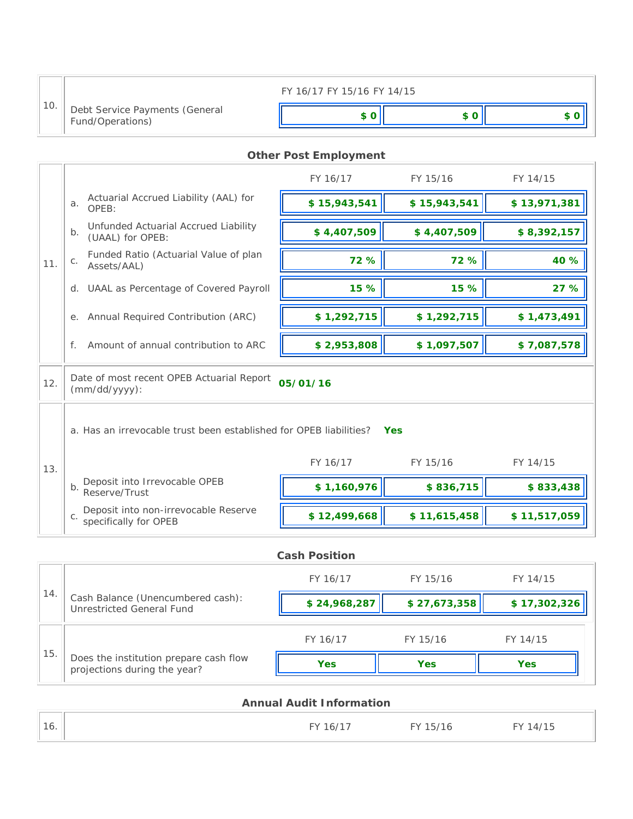|     |                                                    | FY 16/17 FY 15/16 FY 14/15 |  |
|-----|----------------------------------------------------|----------------------------|--|
| 10. | Debt Service Payments (General<br>Fund/Operations) |                            |  |

# **Other Post Employment**

|     |                                                                                  | FY 16/17                   | FY 15/16     | FY 14/15     |  |  |
|-----|----------------------------------------------------------------------------------|----------------------------|--------------|--------------|--|--|
|     | Actuarial Accrued Liability (AAL) for<br>a.<br>OPEB:                             | \$15,943,541               | \$15,943,541 | \$13,971,381 |  |  |
|     | Unfunded Actuarial Accrued Liability<br>b <sub>1</sub><br>(UAAL) for OPEB:       | \$4,407,509<br>\$4,407,509 |              | \$8,392,157  |  |  |
| 11. | Funded Ratio (Actuarial Value of plan<br>$C$ .<br>Assets/AAL)                    | 72 %                       | 72 %         | 40 %         |  |  |
|     | UAAL as Percentage of Covered Payroll<br>$d_{\cdot}$                             | 15 %                       | 15 %         | 27 %         |  |  |
|     | Annual Required Contribution (ARC)<br>е.                                         | \$1,292,715                | \$1,292,715  | \$1,473,491  |  |  |
|     | Amount of annual contribution to ARC<br>f.                                       | \$2,953,808                | \$1,097,507  | \$7,087,578  |  |  |
| 12. | Date of most recent OPEB Actuarial Report<br>$(mm/dd/yyyy)$ :                    | 05/01/16                   |              |              |  |  |
|     | a. Has an irrevocable trust been established for OPEB liabilities?<br><b>Yes</b> |                            |              |              |  |  |
| 13. |                                                                                  | FY 16/17                   | FY 15/16     | FY 14/15     |  |  |
|     | Deposit into Irrevocable OPEB<br>b <sub>1</sub><br>Reserve/Trust                 | \$1,160,976                | \$836,715    | \$833,438    |  |  |
|     | Deposit into non-irrevocable Reserve<br>C.<br>specifically for OPEB              | \$12,499,668               | \$11,615,458 | \$11,517,059 |  |  |

|     |                                                                        | <b>Cash Position</b> |              |              |
|-----|------------------------------------------------------------------------|----------------------|--------------|--------------|
|     |                                                                        | FY 16/17             | FY 15/16     | FY 14/15     |
| 14. | Cash Balance (Unencumbered cash):<br>Unrestricted General Fund         | \$24,968,287         | \$27,673,358 | \$17,302,326 |
|     |                                                                        | FY 16/17             | FY 15/16     | FY 14/15     |
| 15. | Does the institution prepare cash flow<br>projections during the year? | <b>Yes</b>           | <b>Yes</b>   | <b>Yes</b>   |

|     | <b>Annual Audit Information</b> |          |          |  |  |
|-----|---------------------------------|----------|----------|--|--|
| 16. | FY 16/17                        | FY 15/16 | FY 14/15 |  |  |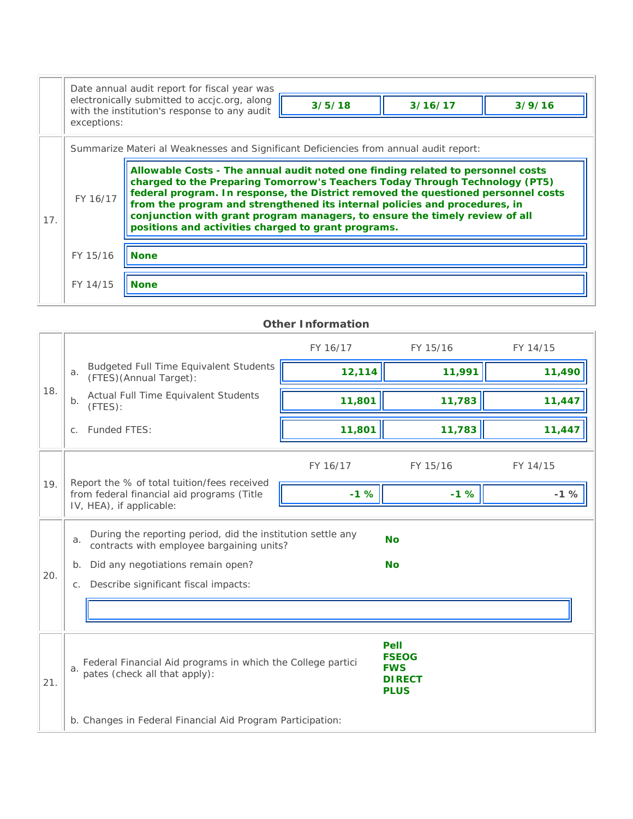|     |                                                                                                                                                                                                                                                                                                                                                                                                                                                                                     | Date annual audit report for fiscal year was<br>electronically submitted to accjc.org, along |        |         |        |  |  |
|-----|-------------------------------------------------------------------------------------------------------------------------------------------------------------------------------------------------------------------------------------------------------------------------------------------------------------------------------------------------------------------------------------------------------------------------------------------------------------------------------------|----------------------------------------------------------------------------------------------|--------|---------|--------|--|--|
|     | exceptions:                                                                                                                                                                                                                                                                                                                                                                                                                                                                         | with the institution's response to any audit                                                 | 3/5/18 | 3/16/17 | 3/9/16 |  |  |
|     | Summarize Materi al Weaknesses and Significant Deficiencies from annual audit report:                                                                                                                                                                                                                                                                                                                                                                                               |                                                                                              |        |         |        |  |  |
| 17. | Allowable Costs - The annual audit noted one finding related to personnel costs<br>charged to the Preparing Tomorrow's Teachers Today Through Technology (PT5)<br>federal program. In response, the District removed the questioned personnel costs<br>FY 16/17<br>from the program and strengthened its internal policies and procedures, in<br>conjunction with grant program managers, to ensure the timely review of all<br>positions and activities charged to grant programs. |                                                                                              |        |         |        |  |  |
|     | FY 15/16<br><b>None</b>                                                                                                                                                                                                                                                                                                                                                                                                                                                             |                                                                                              |        |         |        |  |  |
|     | FY 14/15                                                                                                                                                                                                                                                                                                                                                                                                                                                                            | <b>None</b>                                                                                  |        |         |        |  |  |

|                                                                                                                                                                                        | <b>Other Information</b>                                                                                                                                                                                |          |                        |          |  |  |  |
|----------------------------------------------------------------------------------------------------------------------------------------------------------------------------------------|---------------------------------------------------------------------------------------------------------------------------------------------------------------------------------------------------------|----------|------------------------|----------|--|--|--|
|                                                                                                                                                                                        |                                                                                                                                                                                                         | FY 16/17 | FY 15/16               | FY 14/15 |  |  |  |
|                                                                                                                                                                                        | <b>Budgeted Full Time Equivalent Students</b><br>a.<br>(FTES)(Annual Target):                                                                                                                           | 12,114   | 11,991                 | 11,490   |  |  |  |
| 18.                                                                                                                                                                                    | Actual Full Time Equivalent Students<br>b.<br>(FTES):                                                                                                                                                   | 11,801   | 11,783                 | 11,447   |  |  |  |
|                                                                                                                                                                                        | Funded FTES:<br>$C_{1}$                                                                                                                                                                                 | 11,801   | 11,783                 | 11,447   |  |  |  |
|                                                                                                                                                                                        |                                                                                                                                                                                                         | FY 16/17 | FY 15/16               | FY 14/15 |  |  |  |
| 19.                                                                                                                                                                                    | Report the % of total tuition/fees received<br>from federal financial aid programs (Title<br>IV, HEA), if applicable:                                                                                   | $-1%$    | $-1%$                  | $-1%$    |  |  |  |
| 20.                                                                                                                                                                                    | During the reporting period, did the institution settle any<br>a.<br>contracts with employee bargaining units?<br>Did any negotiations remain open?<br>$b$ .<br>c. Describe significant fiscal impacts: |          | <b>No</b><br><b>No</b> |          |  |  |  |
|                                                                                                                                                                                        |                                                                                                                                                                                                         |          |                        |          |  |  |  |
| <b>Pell</b><br><b>FSEOG</b><br>Federal Financial Aid programs in which the College partici<br><b>FWS</b><br>a.<br>pates (check all that apply):<br><b>DIRECT</b><br>21.<br><b>PLUS</b> |                                                                                                                                                                                                         |          |                        |          |  |  |  |
|                                                                                                                                                                                        | b. Changes in Federal Financial Aid Program Participation:                                                                                                                                              |          |                        |          |  |  |  |